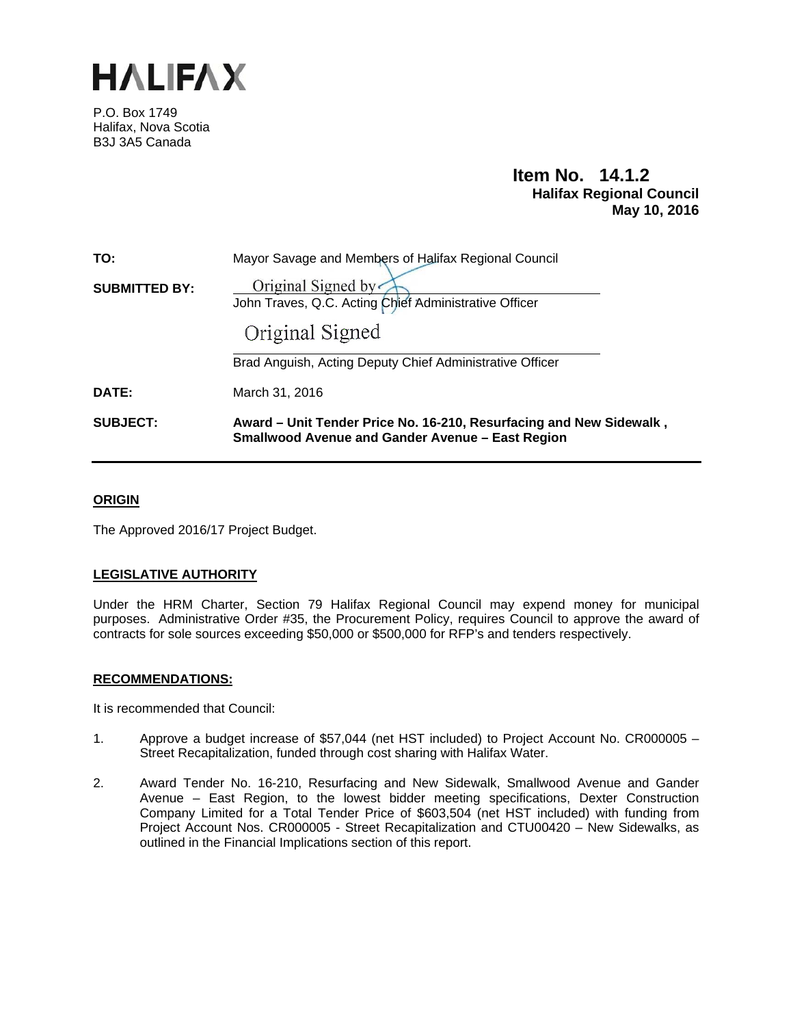

P.O. Box 1749 Halifax, Nova Scotia B3J 3A5 Canada

# **Item No. 14.1.2 Halifax Regional Council May 10, 2016**

| <b>SUBJECT:</b>      | Award - Unit Tender Price No. 16-210, Resurfacing and New Sidewalk,<br><b>Smallwood Avenue and Gander Avenue - East Region</b> |
|----------------------|--------------------------------------------------------------------------------------------------------------------------------|
| DATE:                | March 31, 2016                                                                                                                 |
|                      | Brad Anguish, Acting Deputy Chief Administrative Officer                                                                       |
|                      | Original Signed                                                                                                                |
| <b>SUBMITTED BY:</b> | Original Signed by<br>John Traves, Q.C. Acting Chief Administrative Officer                                                    |
|                      |                                                                                                                                |
| TO:                  | Mayor Savage and Members of Halifax Regional Council                                                                           |

#### **ORIGIN**

The Approved 2016/17 Project Budget.

### **LEGISLATIVE AUTHORITY**

Under the HRM Charter, Section 79 Halifax Regional Council may expend money for municipal purposes. Administrative Order #35, the Procurement Policy, requires Council to approve the award of contracts for sole sources exceeding \$50,000 or \$500,000 for RFP's and tenders respectively.

#### **RECOMMENDATIONS:**

It is recommended that Council:

- 1. Approve a budget increase of \$57,044 (net HST included) to Project Account No. CR000005 Street Recapitalization, funded through cost sharing with Halifax Water.
- 2. Award Tender No. 16-210, Resurfacing and New Sidewalk, Smallwood Avenue and Gander Avenue – East Region, to the lowest bidder meeting specifications, Dexter Construction Company Limited for a Total Tender Price of \$603,504 (net HST included) with funding from Project Account Nos. CR000005 - Street Recapitalization and CTU00420 – New Sidewalks, as outlined in the Financial Implications section of this report.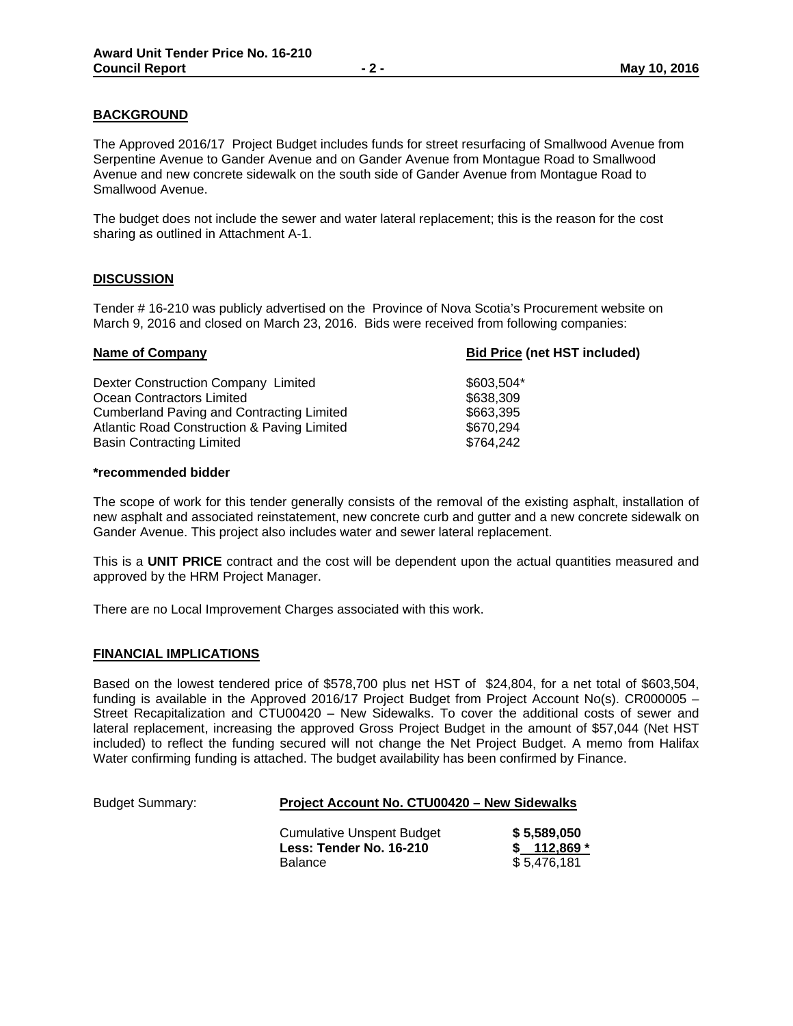The Approved 2016/17 Project Budget includes funds for street resurfacing of Smallwood Avenue from Serpentine Avenue to Gander Avenue and on Gander Avenue from Montague Road to Smallwood Avenue and new concrete sidewalk on the south side of Gander Avenue from Montague Road to Smallwood Avenue.

The budget does not include the sewer and water lateral replacement; this is the reason for the cost sharing as outlined in Attachment A-1.

#### **DISCUSSION**

Tender # 16-210 was publicly advertised on the Province of Nova Scotia's Procurement website on March 9, 2016 and closed on March 23, 2016. Bids were received from following companies:

## **Name of Company Bid Price (net HST included)** Dexter Construction Company Limited  $$603,504*$ Ocean Contractors Limited \$638,309 Cumberland Paving and Contracting Limited \$663,395 Atlantic Road Construction & Paving Limited  $$670,294$ Basin Contracting Limited \$764,242

#### **\*recommended bidder**

The scope of work for this tender generally consists of the removal of the existing asphalt, installation of new asphalt and associated reinstatement, new concrete curb and gutter and a new concrete sidewalk on Gander Avenue. This project also includes water and sewer lateral replacement.

This is a **UNIT PRICE** contract and the cost will be dependent upon the actual quantities measured and approved by the HRM Project Manager.

There are no Local Improvement Charges associated with this work.

#### **FINANCIAL IMPLICATIONS**

Based on the lowest tendered price of \$578,700 plus net HST of \$24,804, for a net total of \$603,504, funding is available in the Approved 2016/17 Project Budget from Project Account No(s). CR000005 – Street Recapitalization and CTU00420 – New Sidewalks. To cover the additional costs of sewer and lateral replacement, increasing the approved Gross Project Budget in the amount of \$57,044 (Net HST included) to reflect the funding secured will not change the Net Project Budget. A memo from Halifax Water confirming funding is attached. The budget availability has been confirmed by Finance.

| <b>Budget Summary:</b> | <b>Project Account No. CTU00420 - New Sidewalks</b>         |                            |  |  |
|------------------------|-------------------------------------------------------------|----------------------------|--|--|
|                        | <b>Cumulative Unspent Budget</b><br>Less: Tender No. 16-210 | \$5.589.050<br>$$112,869*$ |  |  |
|                        | <b>Balance</b>                                              | \$5,476,181                |  |  |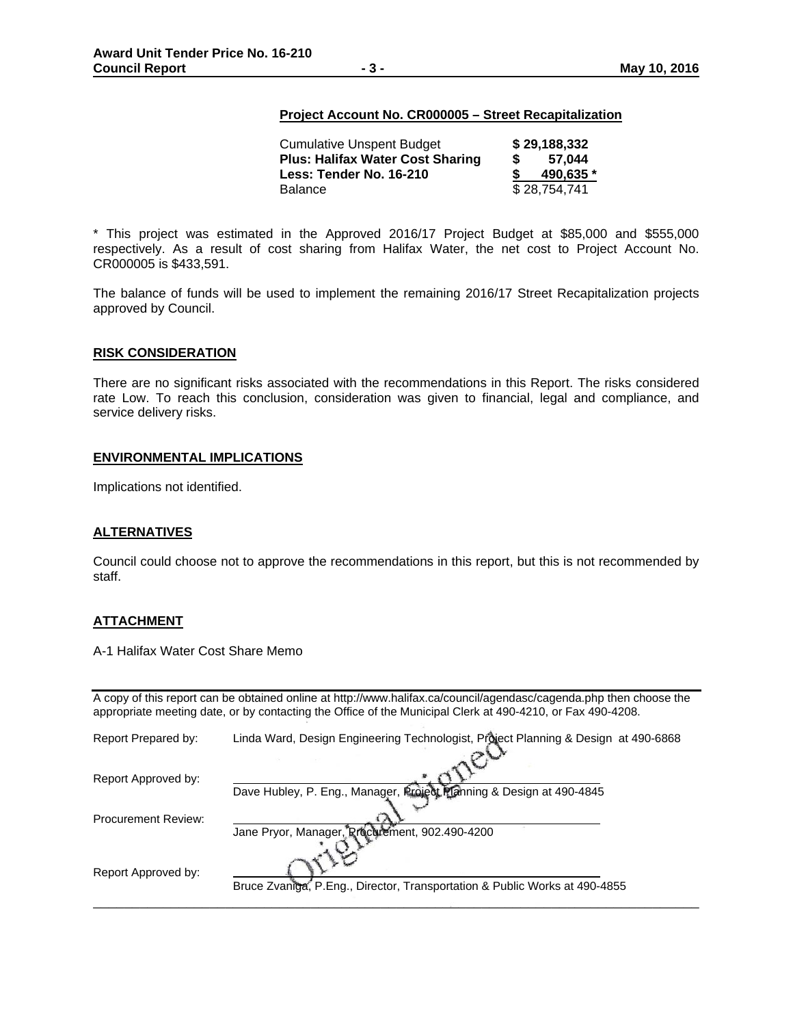#### **Project Account No. CR000005 – Street Recapitalization**

| <b>Cumulative Unspent Budget</b>        | \$29,188,332 |
|-----------------------------------------|--------------|
| <b>Plus: Halifax Water Cost Sharing</b> | 57.044       |
| Less: Tender No. 16-210                 | 490.635 *    |
| <b>Balance</b>                          | \$28.754.741 |

\* This project was estimated in the Approved 2016/17 Project Budget at \$85,000 and \$555,000 respectively. As a result of cost sharing from Halifax Water, the net cost to Project Account No. CR000005 is \$433,591.

The balance of funds will be used to implement the remaining 2016/17 Street Recapitalization projects approved by Council.

#### **RISK CONSIDERATION**

There are no significant risks associated with the recommendations in this Report. The risks considered rate Low. To reach this conclusion, consideration was given to financial, legal and compliance, and service delivery risks.

#### **ENVIRONMENTAL IMPLICATIONS**

Implications not identified.

#### **ALTERNATIVES**

Council could choose not to approve the recommendations in this report, but this is not recommended by staff.

#### **ATTACHMENT**

A-1 Halifax Water Cost Share Memo

A copy of this report can be obtained online at http://www.halifax.ca/council/agendasc/cagenda.php then choose the appropriate meeting date, or by contacting the Office of the Municipal Clerk at 490-4210, or Fax 490-4208.

| Report Prepared by:        | Linda Ward, Design Engineering Technologist, Project Planning & Design at 490-6868 |
|----------------------------|------------------------------------------------------------------------------------|
| Report Approved by:        |                                                                                    |
|                            | Dave Hubley, P. Eng., Manager, Project Planning & Design at 490-4845               |
| <b>Procurement Review:</b> |                                                                                    |
|                            | Jane Pryor, Manager, Rrocurement, 902.490-4200                                     |
| Report Approved by:        |                                                                                    |
|                            | Bruce Zvaniga, P.Eng., Director, Transportation & Public Works at 490-4855         |
|                            |                                                                                    |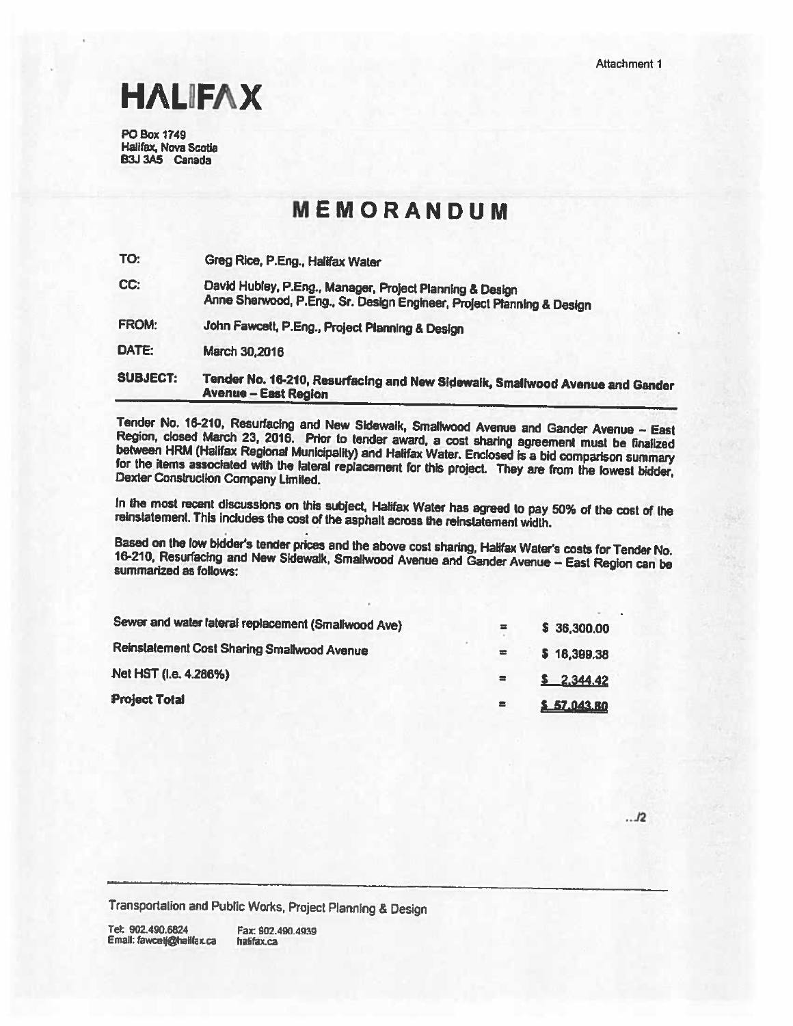# **HALIFAX**

**PO Box 1749** Halifax, Nova Scotia B3J 3A5 Canada

# MEMORANDUM

| TO:             | Greg Rice, P.Eng., Halifax Water                                                                                                  |
|-----------------|-----------------------------------------------------------------------------------------------------------------------------------|
| CC:             | David Hubley, P.Eng., Manager, Project Planning & Design<br>Anne Sherwood, P.Eng., Sr. Design Engineer, Project Planning & Design |
| <b>FROM:</b>    | John Fawcett, P.Eng., Project Planning & Design                                                                                   |
| DATE:           | March 30,2016                                                                                                                     |
| <b>SUBJECT:</b> | Tender No. 16-210, Resurfacing and New Sidewalk, Smallwood Avenue and Gander<br><b>Avenue - East Region</b>                       |

Tender No. 16-210, Resurfacing and New Sidewaik, Smallwood Avenue and Gander Avenue - East Region, closed March 23, 2016. Prior to tender award, a cost sharing agreement must be finalized between HRM (Halifax Regional Municipality) and Halifax Water. Enclosed is a bid comparison summary for the items associated with the lateral replacement for this project. They are from the lowest bidder, Dexter Construction Company Limited.

In the most recent discussions on this subject, Halifax Water has agreed to pay 50% of the cost of the reinstatement. This includes the cost of the asphalt across the reinstatement width.

Based on the low bidder's tender prices and the above cost sharing, Halifax Water's costs for Tender No. 16-210, Resurfacing and New Sidewalk, Smallwood Avenue and Gander Avenue - East Region can be summarized as follows:

| Sewer and water lateral replacement (Smallwood Ave) | 霊        | \$36,300.00 |
|-----------------------------------------------------|----------|-------------|
| Reinstatement Cost Sharing Smallwood Avenue         |          | \$18,399.38 |
| Net HST (i.e. 4.286%)                               | $\equiv$ | \$2.344.42  |
| <b>Project Total</b>                                | $\equiv$ | \$57,043.80 |

 $. . . 12$ 

Transportation and Public Works, Project Planning & Design